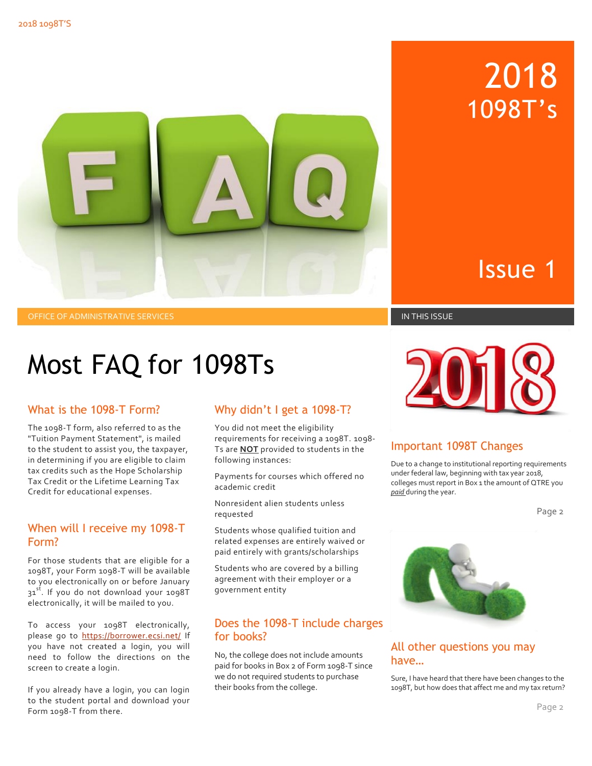

OFFICE OF ADMINISTRATIVE SERVICES IN THIS ISSUE IN THIS ISSUE IN THIS ISSUE IN THIS ISSUE

## Issue 1

2018

1098T's

# Most FAQ for 1098Ts

#### What is the 1098-T Form?

The 1098-T form, also referred to as the "Tuition Payment Statement", is mailed to the student to assist you, the taxpayer, in determining if you are eligible to claim tax credits such as the Hope Scholarship Tax Credit or the Lifetime Learning Tax Credit for educational expenses.

#### When will I receive my 1098-T Form?

For those students that are eligible for a 1098T, your Form 1098-T will be available to you electronically on or before January 31<sup>st</sup>. If you do not download your 1098T electronically, it will be mailed to you.

To access your 1098T electronically, please go to<https://borrower.ecsi.net/>If you have not created a login, you will need to follow the directions on the screen to create a login.

If you already have a login, you can login to the student portal and download your Form 1098-T from there.

### Why didn't I get a 1098-T?

You did not meet the eligibility requirements for receiving a 1098T. 1098- Ts are **NOT** provided to students in the following instances:

Payments for courses which offered no academic credit

Nonresident alien students unless requested

Students whose qualified tuition and related expenses are entirely waived or paid entirely with grants/scholarships

Students who are covered by a billing agreement with their employer or a government entity

#### Does the 1098-T include charges for books?

No, the college does not include amounts paid for books in Box 2 of Form 1098-T since we do not required students to purchase their books from the college.



#### Important 1098T Changes

Due to a change to institutional reporting requirements under federal law, beginning with tax year 2018, colleges must report in Box 1 the amount of QTRE you *paid* during the year.

Page 2



#### All other questions you may have…

Sure, I have heard that there have been changes to the 1098T, but how does that affect me and my tax return?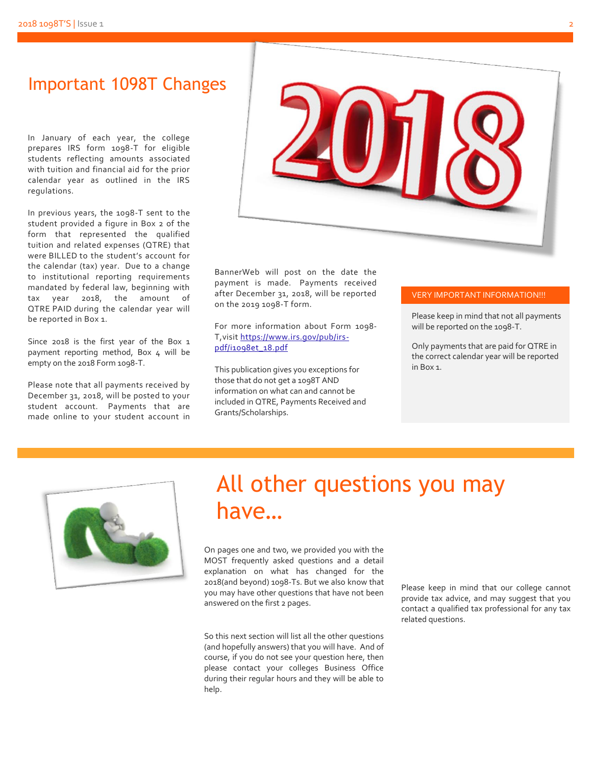### Important 1098T Changes

In January of each year, the college prepares IRS form 1098-T for eligible students reflecting amounts associated with tuition and financial aid for the prior calendar year as outlined in the IRS regulations.

In previous years, the 1098-T sent to the student provided a figure in Box 2 of the form that represented the qualified tuition and related expenses (QTRE) that were BILLED to the student's account for the calendar (tax) year. Due to a change to institutional reporting requirements mandated by federal law, beginning with tax year 2018, the amount of QTRE PAID during the calendar year will be reported in Box 1.

Since 2018 is the first year of the Box 1 payment reporting method, Box 4 will be empty on the 2018 Form 1098-T.

Please note that all payments received by December 31, 2018, will be posted to your student account. Payments that are made online to your student account in



BannerWeb will post on the date the payment is made. Payments received after December 31, 2018, will be reported on the 2019 1098-T form.

For more information about Form 1098- T,visit [https://www.irs.gov/pub/irs](https://www.irs.gov/pub/irs-pdf/i1098et_18.pdf)[pdf/i1098et\\_18.pdf](https://www.irs.gov/pub/irs-pdf/i1098et_18.pdf)

This publication gives you exceptions for those that do not get a 1098T AND information on what can and cannot be included in QTRE, Payments Received and Grants/Scholarships.

#### VERY IMPORTANT INFORMATION!!!

Please keep in mind that not all payments will be reported on the 1098-T.

Only payments that are paid for QTRE in the correct calendar year will be reported in Box 1.



### All other questions you may have…

On pages one and two, we provided you with the MOST frequently asked questions and a detail explanation on what has changed for the 2018(and beyond) 1098-Ts. But we also know that you may have other questions that have not been answered on the first 2 pages.

So this next section will list all the other questions (and hopefully answers) that you will have. And of course, if you do not see your question here, then please contact your colleges Business Office during their regular hours and they will be able to help.

Please keep in mind that our college cannot provide tax advice, and may suggest that you contact a qualified tax professional for any tax related questions.